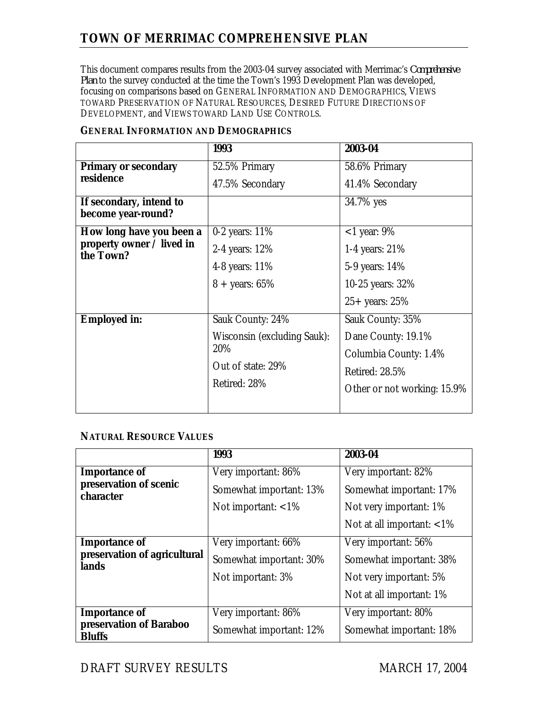# **TOWN OF MERRIMAC COMPREHENSIVE PLAN**

This document compares results from the 2003-04 survey associated with Merrimac's *Comprehensive Plan* to the survey conducted at the time the Town's 1993 Development Plan was developed, focusing on comparisons based on GENERAL INFORMATION AND DEMOGRAPHICS, VIEWS TOWARD PRESERVATION OF NATURAL RESOURCES, DESIRED FUTURE DIRECTIONS OF DEVELOPMENT, and VIEWS TOWARD LAND USE CONTROLS.

|                                               | 1993                                                                    | 2003-04                     |
|-----------------------------------------------|-------------------------------------------------------------------------|-----------------------------|
| <b>Primary or secondary</b><br>residence      | 52.5% Primary                                                           | 58.6% Primary               |
|                                               | 47.5% Secondary                                                         | 41.4% Secondary             |
| If secondary, intend to<br>become year-round? |                                                                         | 34.7% yes                   |
| How long have you been a                      | 0-2 years: $11\%$                                                       | $<$ 1 year: 9%              |
| property owner / lived in<br>the Town?        | 2-4 years: 12%                                                          | 1-4 years: 21%              |
|                                               | 4-8 years: 11%                                                          | 5-9 years: 14%              |
|                                               | $8 + \text{years: } 65\%$                                               | 10-25 years: 32%            |
|                                               |                                                                         | $25+$ years: 25%            |
| <b>Employed in:</b>                           | Sauk County: 24%                                                        | Sauk County: 35%            |
|                                               | Wisconsin (excluding Sauk):<br>20%<br>Out of state: 29%<br>Retired: 28% | Dane County: 19.1%          |
|                                               |                                                                         | Columbia County: 1.4%       |
|                                               |                                                                         | <b>Retired: 28.5%</b>       |
|                                               |                                                                         | Other or not working: 15.9% |
|                                               |                                                                         |                             |

### **GENERAL INFORMATION AND DEMOGRAPHICS**

#### **NATURAL RESOURCE VALUES**

|                                          | 1993                    | 2003-04                      |
|------------------------------------------|-------------------------|------------------------------|
| <b>Importance of</b>                     | Very important: 86%     | Very important: 82%          |
| preservation of scenic<br>character      | Somewhat important: 13% | Somewhat important: 17%      |
|                                          | Not important: $<$ 1%   | Not very important: 1%       |
|                                          |                         | Not at all important: $<$ 1% |
| <b>Importance of</b>                     | Very important: 66%     | Very important: 56%          |
| preservation of agricultural<br>lands    | Somewhat important: 30% | Somewhat important: 38%      |
|                                          | Not important: 3%       | Not very important: 5%       |
|                                          |                         | Not at all important: 1%     |
| <b>Importance of</b>                     | Very important: 86%     | Very important: 80%          |
| preservation of Baraboo<br><b>Bluffs</b> | Somewhat important: 12% | Somewhat important: 18%      |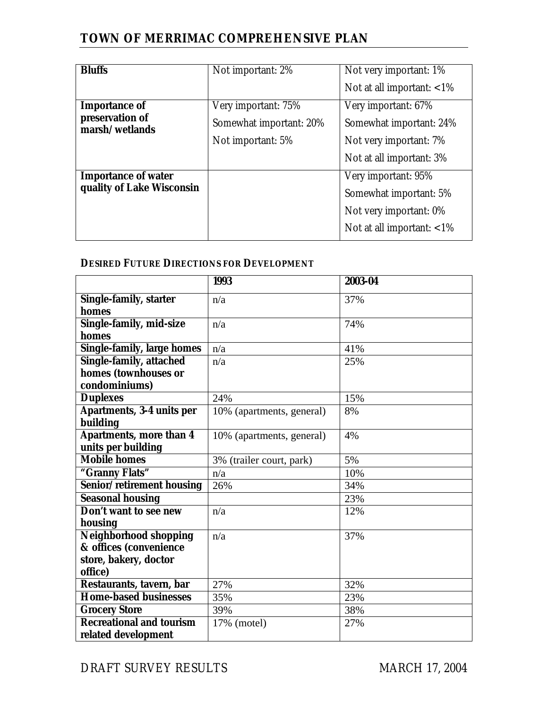## **TOWN OF MERRIMAC COMPREHENSIVE PLAN**

| <b>Bluffs</b>                     | Not important: 2%       | Not very important: 1%       |
|-----------------------------------|-------------------------|------------------------------|
|                                   |                         | Not at all important: $<$ 1% |
| <b>Importance of</b>              | Very important: 75%     | Very important: 67%          |
| preservation of<br>marsh/wetlands | Somewhat important: 20% | Somewhat important: 24%      |
|                                   | Not important: 5%       | Not very important: 7%       |
|                                   |                         | Not at all important: 3%     |
| <b>Importance of water</b>        |                         | Very important: 95%          |
| quality of Lake Wisconsin         |                         | Somewhat important: 5%       |
|                                   |                         | Not very important: 0%       |
|                                   |                         | Not at all important: $<$ 1% |
|                                   |                         |                              |

## **DESIRED FUTURE DIRECTIONS FOR DEVELOPMENT**

|                                   | 1993                      | 2003-04 |
|-----------------------------------|---------------------------|---------|
| <b>Single-family, starter</b>     | n/a                       | 37%     |
| homes                             |                           |         |
| Single-family, mid-size           | n/a                       | 74%     |
| homes                             |                           |         |
| <b>Single-family, large homes</b> | n/a                       | 41%     |
| <b>Single-family, attached</b>    | n/a                       | 25%     |
| homes (townhouses or              |                           |         |
| condominiums)                     |                           |         |
| <b>Duplexes</b>                   | 24%                       | 15%     |
| <b>Apartments, 3-4 units per</b>  | 10% (apartments, general) | 8%      |
| building                          |                           |         |
| <b>Apartments, more than 4</b>    | 10% (apartments, general) | 4%      |
| units per building                |                           |         |
| <b>Mobile homes</b>               | 3% (trailer court, park)  | 5%      |
| "Granny Flats"                    | n/a                       | 10%     |
| Senior/retirement housing         | 26%                       | 34%     |
| <b>Seasonal housing</b>           |                           | 23%     |
| Don't want to see new             | n/a                       | 12%     |
| housing                           |                           |         |
| <b>Neighborhood shopping</b>      | n/a                       | 37%     |
| & offices (convenience            |                           |         |
| store, bakery, doctor             |                           |         |
| office)                           |                           |         |
| Restaurants, tavern, bar          | 27%                       | 32%     |
| <b>Home-based businesses</b>      | 35%                       | 23%     |
| <b>Grocery Store</b>              | 39%                       | 38%     |
| <b>Recreational and tourism</b>   | 17% (motel)               | 27%     |
| related development               |                           |         |

DRAFT SURVEY RESULTS MARCH 17, 2004